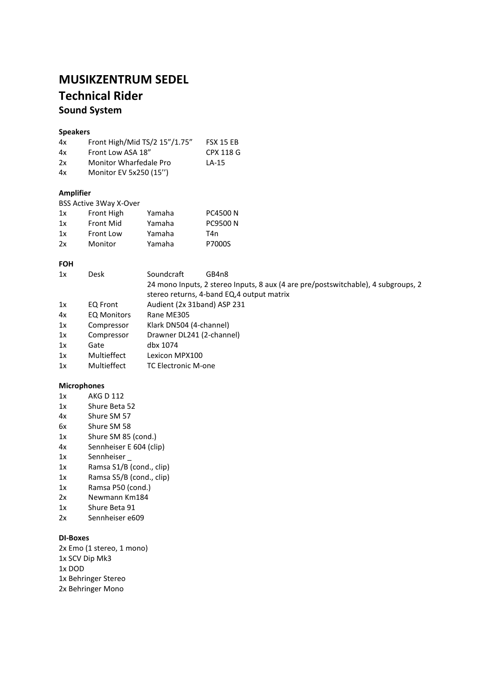# **MUSIKZENTRUM SEDEL**

# **Technical Rider**

## **Sound System**

### **Speakers**

| 4х | Front High/Mid TS/2 15"/1.75" | <b>FSX 15 EB</b> |
|----|-------------------------------|------------------|
| 4x | Front Low ASA 18"             | CPX 118 G        |
| 2x | <b>Monitor Wharfedale Pro</b> | LA-15            |

4x Monitor EV 5x250 (15'')

### **Amplifier**

### BSS Active 3Way X-Over

| 1x  | Front High | Yamaha | <b>PC4500 N</b> |
|-----|------------|--------|-----------------|
| 1x  | Front Mid  | Yamaha | <b>PC9500 N</b> |
| 1 x | Front Low  | Yamaha | T4n             |
| 2x  | Monitor    | Yamaha | P7000S          |

### **FOH**

| 1x | Desk               | Soundcraft<br>GB4n8                                                                                                             |
|----|--------------------|---------------------------------------------------------------------------------------------------------------------------------|
|    |                    | 24 mono Inputs, 2 stereo Inputs, 8 aux (4 are pre/postswitchable), 4 subgroups, 2<br>stereo returns, 4-band EQ, 4 output matrix |
|    |                    |                                                                                                                                 |
| 1x | EQ Front           | Audient (2x 31band) ASP 231                                                                                                     |
| 4x | <b>EQ Monitors</b> | Rane ME305                                                                                                                      |
| 1x | Compressor         | Klark DN504 (4-channel)                                                                                                         |
| 1x | Compressor         | Drawner DL241 (2-channel)                                                                                                       |
| 1x | Gate               | dbx 1074                                                                                                                        |
| 1x | Multieffect        | Lexicon MPX100                                                                                                                  |
| 1x | Multieffect        | TC Electronic M-one                                                                                                             |

### **Microphones**

- 1x AKG D 112
- 1x Shure Beta 52<br>4x Shure SM 57
- Shure SM 57
- 6x Shure SM 58
- 1x Shure SM 85 (cond.)
- 4x Sennheiser E 604 (clip)
- 1x Sennheiser \_
- 1x Ramsa S1/B (cond., clip)
- 1x Ramsa S5/B (cond., clip)
- 1x Ramsa P50 (cond.)
- 2x Newmann Km184
- 1x Shure Beta 91
- 2x Sennheiser e609

### **DI-Boxes**

2x Emo (1 stereo, 1 mono) 1x SCV Dip Mk3 1x DOD 1x Behringer Stereo 2x Behringer Mono